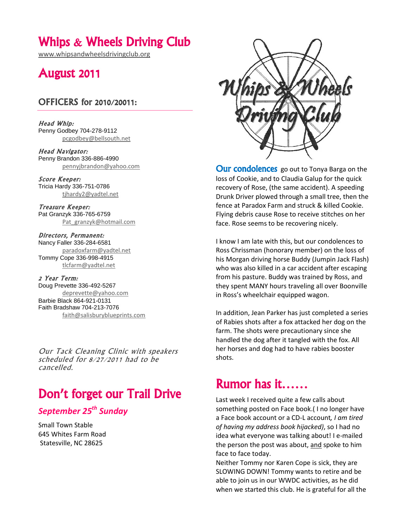## Whips & Wheels Driving Club

[www.whipsandwheelsdrivingclub.org](http://www.whipsandwheelsdrivingclub.org/)

## August 2011

#### OFFICERS for 2010/20011:

Head Whip: Penny Godbey 704-278-9112 [pcgodbey@bellsouth.net](mailto:pcgodbey@bellsouth.net)

Head Navigator: Penny Brandon 336-886-4990 [pennyjbrandon@yahoo.com](mailto:pennyjbrandon@yahoo.com)

Score Keeper: Tricia Hardy 336-751-0786 [tjhardy2@yadtel.net](mailto:tjhardy2@yadtel.net)

Treasure Keeper: Pat Granzyk 336-765-6759 [Pat\\_granzyk@hotmail.com](mailto:Pat_granzyk@hotmail.com)

Directors, Permanent: Nancy Faller 336-284-6581 [paradoxfarm@yadtel.net](mailto:paradoxfarm@yadtel.net) Tommy Cope 336-998-4915 [tlcfarm@yadtel.net](mailto:tlcfarm@yadtel.net)

2 Year Term: Doug Prevette 336-492-5267 [deprevette@yahoo.com](mailto:deprevette@yahoo.com) Barbie Black 864-921-0131 Faith Bradshaw 704-213-7076 [faith@salisburyblueprints.com](mailto:faith@salisburyblueprints.com)

Our Tack Cleaning Clinic with speakers scheduled for 8/27/2011 had to be cancelled.

# Don't forget our Trail Drive

### *September 25th Sunday*

Small Town Stable 645 Whites Farm Road Statesville, NC 28625



**Our condolences** go out to Tonya Barga on the loss of Cookie, and to Claudia Galup for the quick recovery of Rose, (the same accident). A speeding Drunk Driver plowed through a small tree, then the fence at Paradox Farm and struck & killed Cookie. Flying debris cause Rose to receive stitches on her face. Rose seems to be recovering nicely.

I know I am late with this, but our condolences to Ross Chrissman (honorary member) on the loss of his Morgan driving horse Buddy (Jumpin Jack Flash) who was also killed in a car accident after escaping from his pasture. Buddy was trained by Ross, and they spent MANY hours traveling all over Boonville in Ross's wheelchair equipped wagon.

In addition, Jean Parker has just completed a series of Rabies shots after a fox attacked her dog on the farm. The shots were precautionary since she handled the dog after it tangled with the fox. All her horses and dog had to have rabies booster shots.

# Rumor has it……

Last week I received quite a few calls about something posted on Face book.( I no longer have a Face book account or a CD-L account*, I am tired of having my address book hijacked)*, so I had no idea what everyone was talking about! I e-mailed the person the post was about, and spoke to him face to face today.

Neither Tommy nor Karen Cope is sick, they are SLOWING DOWN! Tommy wants to retire and be able to join us in our WWDC activities, as he did when we started this club. He is grateful for all the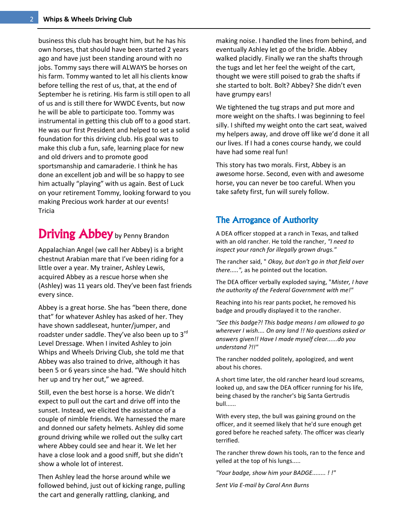business this club has brought him, but he has his own horses, that should have been started 2 years ago and have just been standing around with no jobs. Tommy says there will ALWAYS be horses on his farm. Tommy wanted to let all his clients know before telling the rest of us, that, at the end of September he is retiring. His farm is still open to all of us and is still there for WWDC Events, but now he will be able to participate too. Tommy was instrumental in getting this club off to a good start. He was our first President and helped to set a solid foundation for this driving club. His goal was to make this club a fun, safe, learning place for new and old drivers and to promote good sportsmanship and camaraderie. I think he has done an excellent job and will be so happy to see him actually "playing" with us again. Best of Luck on your retirement Tommy, looking forward to you making Precious work harder at our events! Tricia

# Driving Abbey by Penny Brandon

Appalachian Angel (we call her Abbey) is a bright chestnut Arabian mare that I've been riding for a little over a year. My trainer, Ashley Lewis, acquired Abbey as a rescue horse when she (Ashley) was 11 years old. They've been fast friends every since.

Abbey is a great horse. She has "been there, done that" for whatever Ashley has asked of her. They have shown saddleseat, hunter/jumper, and roadster under saddle. They've also been up to 3rd Level Dressage. When I invited Ashley to join Whips and Wheels Driving Club, she told me that Abbey was also trained to drive, although it has been 5 or 6 years since she had. "We should hitch her up and try her out," we agreed.

Still, even the best horse is a horse. We didn't expect to pull out the cart and drive off into the sunset. Instead, we elicited the assistance of a couple of nimble friends. We harnessed the mare and donned our safety helmets. Ashley did some ground driving while we rolled out the sulky cart where Abbey could see and hear it. We let her have a close look and a good sniff, but she didn't show a whole lot of interest.

Then Ashley lead the horse around while we followed behind, just out of kicking range, pulling the cart and generally rattling, clanking, and

making noise. I handled the lines from behind, and eventually Ashley let go of the bridle. Abbey walked placidly. Finally we ran the shafts through the tugs and let her feel the weight of the cart, thought we were still poised to grab the shafts if she started to bolt. Bolt? Abbey? She didn't even have grumpy ears!

We tightened the tug straps and put more and more weight on the shafts. I was beginning to feel silly. I shifted my weight onto the cart seat, waived my helpers away, and drove off like we'd done it all our lives. If I had a cones course handy, we could have had some real fun!

This story has two morals. First, Abbey is an awesome horse. Second, even with and awesome horse, you can never be too careful. When you take safety first, fun will surely follow.

### The Arrogance of Authority

A DEA officer stopped at a ranch in Texas, and talked with an old rancher. He told the rancher, *"I need to inspect your ranch for illegally grown drugs."* 

The rancher said, " *Okay, but don't go in that field over there.....",* as he pointed out the location.

The DEA officer verbally exploded saying, "*Mister, I have the authority of the Federal Government with me!"* 

Reaching into his rear pants pocket, he removed his badge and proudly displayed it to the rancher.

*"See this badge?! This badge means I am allowed to go wherever I wish.... On any land !! No questions asked or answers given!! Have I made myself clear......do you understand ?!!"* 

The rancher nodded politely, apologized, and went about his chores.

A short time later, the old rancher heard loud screams, looked up, and saw the DEA officer running for his life, being chased by the rancher's big Santa Gertrudis bull......

With every step, the bull was gaining ground on the officer, and it seemed likely that he'd sure enough get gored before he reached safety. The officer was clearly terrified.

The rancher threw down his tools, ran to the fence and yelled at the top of his lungs.....

*"Your badge, show him your BADGE........ ! !"* 

*Sent Via E-mail by Carol Ann Burns*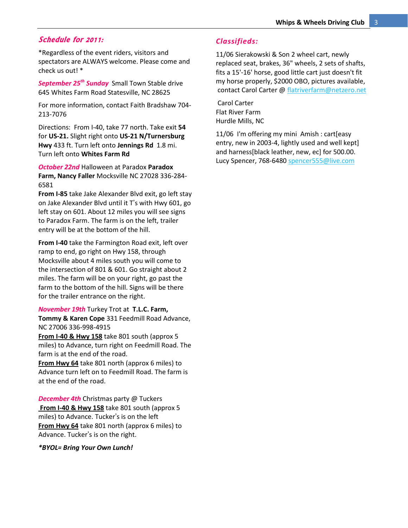#### Schedule for 2011:

\*Regardless of the event riders, visitors and spectators are ALWAYS welcome. Please come and check us out! \*

*September 25th Sunday* Small Town Stable drive 645 Whites Farm Road Statesville, NC 28625

For more information, contact Faith Bradshaw 704- 213-7076

Directions: From I-40, take 77 north. Take exit **54** for **US-21.** Slight right onto **US-21 N/Turnersburg Hwy** 433 ft. Turn left onto **Jennings Rd** 1.8 mi. Turn left onto **Whites Farm Rd**

*October 22nd* Halloween at Paradox **Paradox Farm, Nancy Faller** Mocksville NC 27028 336-284- 6581

**From I-85** take Jake Alexander Blvd exit, go left stay on Jake Alexander Blvd until it T's with Hwy 601, go left stay on 601. About 12 miles you will see signs to Paradox Farm. The farm is on the left, trailer entry will be at the bottom of the hill.

**From I-40** take the Farmington Road exit, left over ramp to end, go right on Hwy 158, through Mocksville about 4 miles south you will come to the intersection of 801 & 601. Go straight about 2 miles. The farm will be on your right, go past the farm to the bottom of the hill. Signs will be there for the trailer entrance on the right.

#### *November 19th* Turkey Trot at **T.L.C. Farm, Tommy & Karen Cope** 331 Feedmill Road Advance,

NC 27006 336-998-4915

**From I-40 & Hwy 158** take 801 south (approx 5 miles) to Advance, turn right on Feedmill Road. The farm is at the end of the road.

**From Hwy 64** take 801 north (approx 6 miles) to Advance turn left on to Feedmill Road. The farm is at the end of the road.

*December 4th* Christmas party @ Tuckers **From I-40 & Hwy 158** take 801 south (approx 5 miles) to Advance. Tucker's is on the left **From Hwy 64** take 801 north (approx 6 miles) to Advance. Tucker's is on the right.

*\*BYOL= Bring Your Own Lunch!*

#### *Classifieds:*

11/06 Sierakowski & Son 2 wheel cart, newly replaced seat, brakes, 36" wheels, 2 sets of shafts, fits a 15'-16' horse, good little cart just doesn't fit my horse properly, \$2000 OBO, pictures available, contact Carol Carter @ [flatriverfarm@netzero.net](mailto:flatriverfarm@netzero.net)

Carol Carter Flat River Farm Hurdle Mills, NC

11/06 I'm offering my mini Amish : cart[easy entry, new in 2003-4, lightly used and well kept] and harness[black leather, new, ec] for 500.00. Lucy Spencer, 768-648[0 spencer555@live.com](mailto:spencer555@live.com)